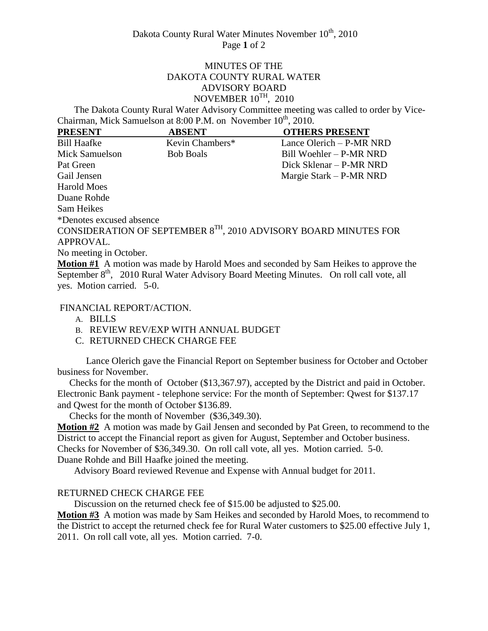## MINUTES OF THE DAKOTA COUNTY RURAL WATER ADVISORY BOARD NOVEMBER  $10^{TH}$ , 2010

 The Dakota County Rural Water Advisory Committee meeting was called to order by Vice-Chairman, Mick Samuelson at  $8:00$  P.M. on November  $10<sup>th</sup>$ , 2010.

| <b>PRESENT</b>           | <b>ABSENT</b>    | <b>OTHERS PRESENT</b>                                                 |
|--------------------------|------------------|-----------------------------------------------------------------------|
| <b>Bill Haafke</b>       | Kevin Chambers*  | Lance Olerich $-$ P-MR NRD                                            |
| Mick Samuelson           | <b>Bob Boals</b> | Bill Woehler – P-MR NRD                                               |
| Pat Green                |                  | Dick Sklenar – P-MR NRD                                               |
| Gail Jensen              |                  | Margie Stark - P-MR NRD                                               |
| Harold Moes              |                  |                                                                       |
| Duane Rohde              |                  |                                                                       |
| Sam Heikes               |                  |                                                                       |
| *Denotes excused absence |                  |                                                                       |
|                          |                  | CONSIDERATION OF SEPTEMBER $8^{TH}$ , 2010 ADVISORY BOARD MINUTES FOR |
| APPROVAL.                |                  |                                                                       |

No meeting in October.

**Motion #1** A motion was made by Harold Moes and seconded by Sam Heikes to approve the September 8<sup>th</sup>, 2010 Rural Water Advisory Board Meeting Minutes. On roll call vote, all yes. Motion carried. 5-0.

FINANCIAL REPORT/ACTION.

A. BILLS

B. REVIEW REV/EXP WITH ANNUAL BUDGET

C. RETURNED CHECK CHARGE FEE

Lance Olerich gave the Financial Report on September business for October and October business for November.

 Checks for the month of October (\$13,367.97), accepted by the District and paid in October. Electronic Bank payment - telephone service: For the month of September: Qwest for \$137.17 and Qwest for the month of October \$136.89.

Checks for the month of November (\$36,349.30).

**Motion #2** A motion was made by Gail Jensen and seconded by Pat Green, to recommend to the District to accept the Financial report as given for August, September and October business. Checks for November of \$36,349.30. On roll call vote, all yes. Motion carried. 5-0. Duane Rohde and Bill Haafke joined the meeting.

Advisory Board reviewed Revenue and Expense with Annual budget for 2011.

# RETURNED CHECK CHARGE FEE

Discussion on the returned check fee of \$15.00 be adjusted to \$25.00.

**Motion #3** A motion was made by Sam Heikes and seconded by Harold Moes, to recommend to the District to accept the returned check fee for Rural Water customers to \$25.00 effective July 1, 2011. On roll call vote, all yes. Motion carried. 7-0.